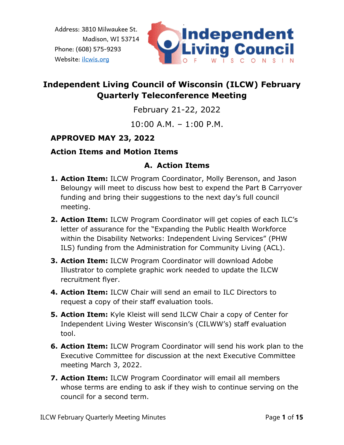

# **Independent Living Council of Wisconsin (ILCW) February Quarterly Teleconference Meeting**

February 21-22, 2022

10:00 A.M. – 1:00 P.M.

### **APPROVED MAY 23, 2022**

#### **Action Items and Motion Items**

### **A. Action Items**

- **1. Action Item:** ILCW Program Coordinator, Molly Berenson, and Jason Beloungy will meet to discuss how best to expend the Part B Carryover funding and bring their suggestions to the next day's full council meeting.
- **2. Action Item:** ILCW Program Coordinator will get copies of each ILC's letter of assurance for the "Expanding the Public Health Workforce within the Disability Networks: Independent Living Services" (PHW ILS) funding from the Administration for Community Living (ACL).
- **3. Action Item:** ILCW Program Coordinator will download Adobe Illustrator to complete graphic work needed to update the ILCW recruitment flyer.
- **4. Action Item:** ILCW Chair will send an email to ILC Directors to request a copy of their staff evaluation tools.
- **5. Action Item:** Kyle Kleist will send ILCW Chair a copy of Center for Independent Living Wester Wisconsin's (CILWW's) staff evaluation tool.
- **6. Action Item:** ILCW Program Coordinator will send his work plan to the Executive Committee for discussion at the next Executive Committee meeting March 3, 2022.
- **7. Action Item:** ILCW Program Coordinator will email all members whose terms are ending to ask if they wish to continue serving on the council for a second term.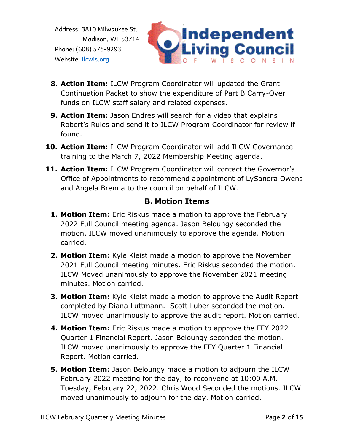

- **8. Action Item:** ILCW Program Coordinator will updated the Grant Continuation Packet to show the expenditure of Part B Carry-Over funds on ILCW staff salary and related expenses.
- **9. Action Item:** Jason Endres will search for a video that explains Robert's Rules and send it to ILCW Program Coordinator for review if found.
- **10. Action Item:** ILCW Program Coordinator will add ILCW Governance training to the March 7, 2022 Membership Meeting agenda.
- **11. Action Item:** ILCW Program Coordinator will contact the Governor's Office of Appointments to recommend appointment of LySandra Owens and Angela Brenna to the council on behalf of ILCW.

#### **B. Motion Items**

- **1. Motion Item:** Eric Riskus made a motion to approve the February 2022 Full Council meeting agenda. Jason Beloungy seconded the motion. ILCW moved unanimously to approve the agenda. Motion carried.
- **2. Motion Item:** Kyle Kleist made a motion to approve the November 2021 Full Council meeting minutes. Eric Riskus seconded the motion. ILCW Moved unanimously to approve the November 2021 meeting minutes. Motion carried.
- **3. Motion Item:** Kyle Kleist made a motion to approve the Audit Report completed by Diana Luttmann. Scott Luber seconded the motion. ILCW moved unanimously to approve the audit report. Motion carried.
- **4. Motion Item:** Eric Riskus made a motion to approve the FFY 2022 Quarter 1 Financial Report. Jason Beloungy seconded the motion. ILCW moved unanimously to approve the FFY Quarter 1 Financial Report. Motion carried.
- **5. Motion Item:** Jason Beloungy made a motion to adjourn the ILCW February 2022 meeting for the day, to reconvene at 10:00 A.M. Tuesday, February 22, 2022. Chris Wood Seconded the motions. ILCW moved unanimously to adjourn for the day. Motion carried.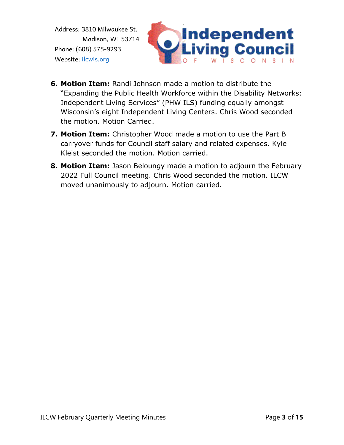

- **6. Motion Item:** Randi Johnson made a motion to distribute the "Expanding the Public Health Workforce within the Disability Networks: Independent Living Services" (PHW ILS) funding equally amongst Wisconsin's eight Independent Living Centers. Chris Wood seconded the motion. Motion Carried.
- **7. Motion Item:** Christopher Wood made a motion to use the Part B carryover funds for Council staff salary and related expenses. Kyle Kleist seconded the motion. Motion carried.
- **8. Motion Item:** Jason Beloungy made a motion to adjourn the February 2022 Full Council meeting. Chris Wood seconded the motion. ILCW moved unanimously to adjourn. Motion carried.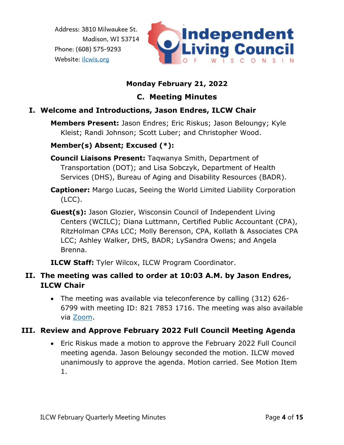

### **Monday February 21, 2022**

# **C. Meeting Minutes**

### **I. Welcome and Introductions, Jason Endres, ILCW Chair**

**Members Present:** Jason Endres; Eric Riskus; Jason Beloungy; Kyle Kleist; Randi Johnson; Scott Luber; and Christopher Wood.

#### **Member(s) Absent; Excused (\*):**

**Council Liaisons Present:** Taqwanya Smith, Department of Transportation (DOT); and Lisa Sobczyk, Department of Health Services (DHS), Bureau of Aging and Disability Resources (BADR).

- **Captioner:** Margo Lucas, Seeing the World Limited Liability Corporation (LCC).
- **Guest(s):** Jason Glozier, Wisconsin Council of Independent Living Centers (WCILC); Diana Luttmann, Certified Public Accountant (CPA), RitzHolman CPAs LCC; Molly Berenson, CPA, Kollath & Associates CPA LCC; Ashley Walker, DHS, BADR; LySandra Owens; and Angela Brenna.

**ILCW Staff:** Tyler Wilcox, ILCW Program Coordinator.

### **II. The meeting was called to order at 10:03 A.M. by Jason Endres, ILCW Chair**

• The meeting was available via teleconference by calling (312) 626- 6799 with meeting ID: 821 7853 1716. The meeting was also available via [Zoom.](https://us02web.zoom.us/j/82178531716)

### **III. Review and Approve February 2022 Full Council Meeting Agenda**

• Eric Riskus made a motion to approve the February 2022 Full Council meeting agenda. Jason Beloungy seconded the motion. ILCW moved unanimously to approve the agenda. Motion carried. See Motion Item 1.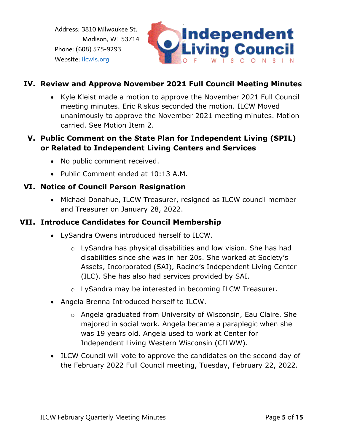

#### **IV. Review and Approve November 2021 Full Council Meeting Minutes**

• Kyle Kleist made a motion to approve the November 2021 Full Council meeting minutes. Eric Riskus seconded the motion. ILCW Moved unanimously to approve the November 2021 meeting minutes. Motion carried. See Motion Item 2.

#### **V. Public Comment on the State Plan for Independent Living (SPIL) or Related to Independent Living Centers and Services**

- No public comment received.
- Public Comment ended at 10:13 A.M.

#### **VI. Notice of Council Person Resignation**

• Michael Donahue, ILCW Treasurer, resigned as ILCW council member and Treasurer on January 28, 2022.

#### **VII. Introduce Candidates for Council Membership**

- LySandra Owens introduced herself to ILCW.
	- o LySandra has physical disabilities and low vision. She has had disabilities since she was in her 20s. She worked at Society's Assets, Incorporated (SAI), Racine's Independent Living Center (ILC). She has also had services provided by SAI.
	- o LySandra may be interested in becoming ILCW Treasurer.
- Angela Brenna Introduced herself to ILCW.
	- o Angela graduated from University of Wisconsin, Eau Claire. She majored in social work. Angela became a paraplegic when she was 19 years old. Angela used to work at Center for Independent Living Western Wisconsin (CILWW).
- ILCW Council will vote to approve the candidates on the second day of the February 2022 Full Council meeting, Tuesday, February 22, 2022.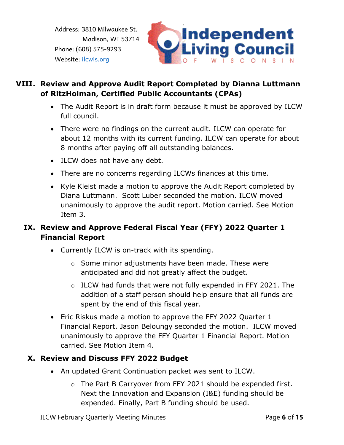

### **VIII. Review and Approve Audit Report Completed by Dianna Luttmann of RitzHolman, Certified Public Accountants (CPAs)**

- The Audit Report is in draft form because it must be approved by ILCW full council.
- There were no findings on the current audit. ILCW can operate for about 12 months with its current funding. ILCW can operate for about 8 months after paying off all outstanding balances.
- ILCW does not have any debt.
- There are no concerns regarding ILCWs finances at this time.
- Kyle Kleist made a motion to approve the Audit Report completed by Diana Luttmann. Scott Luber seconded the motion. ILCW moved unanimously to approve the audit report. Motion carried. See Motion Item 3.

### **IX. Review and Approve Federal Fiscal Year (FFY) 2022 Quarter 1 Financial Report**

- Currently ILCW is on-track with its spending.
	- o Some minor adjustments have been made. These were anticipated and did not greatly affect the budget.
	- o ILCW had funds that were not fully expended in FFY 2021. The addition of a staff person should help ensure that all funds are spent by the end of this fiscal year.
- Eric Riskus made a motion to approve the FFY 2022 Quarter 1 Financial Report. Jason Beloungy seconded the motion. ILCW moved unanimously to approve the FFY Quarter 1 Financial Report. Motion carried. See Motion Item 4.

#### **X. Review and Discuss FFY 2022 Budget**

- An updated Grant Continuation packet was sent to ILCW.
	- o The Part B Carryover from FFY 2021 should be expended first. Next the Innovation and Expansion (I&E) funding should be expended. Finally, Part B funding should be used.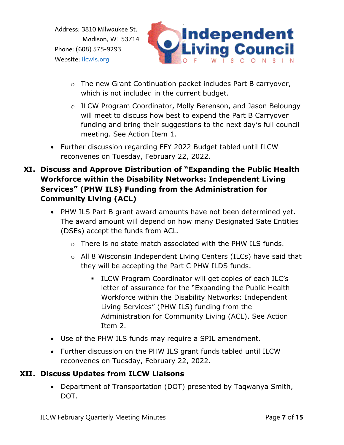

- o The new Grant Continuation packet includes Part B carryover, which is not included in the current budget.
- o ILCW Program Coordinator, Molly Berenson, and Jason Beloungy will meet to discuss how best to expend the Part B Carryover funding and bring their suggestions to the next day's full council meeting. See Action Item 1.
- Further discussion regarding FFY 2022 Budget tabled until ILCW reconvenes on Tuesday, February 22, 2022.
- **XI. Discuss and Approve Distribution of "Expanding the Public Health Workforce within the Disability Networks: Independent Living Services" (PHW ILS) Funding from the Administration for Community Living (ACL)**
	- PHW ILS Part B grant award amounts have not been determined yet. The award amount will depend on how many Designated Sate Entities (DSEs) accept the funds from ACL.
		- o There is no state match associated with the PHW ILS funds.
		- o All 8 Wisconsin Independent Living Centers (ILCs) have said that they will be accepting the Part C PHW ILDS funds.
			- ILCW Program Coordinator will get copies of each ILC's letter of assurance for the "Expanding the Public Health Workforce within the Disability Networks: Independent Living Services" (PHW ILS) funding from the Administration for Community Living (ACL). See Action Item 2.
	- Use of the PHW ILS funds may require a SPIL amendment.
	- Further discussion on the PHW ILS grant funds tabled until ILCW reconvenes on Tuesday, February 22, 2022.

### **XII. Discuss Updates from ILCW Liaisons**

• Department of Transportation (DOT) presented by Taqwanya Smith, DOT.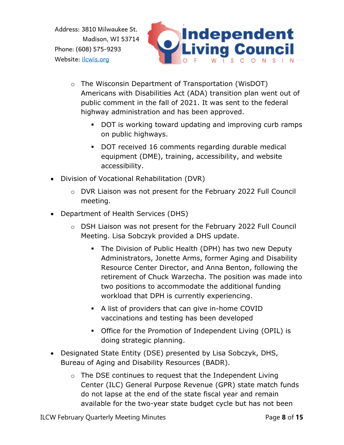

- o The Wisconsin Department of Transportation (WisDOT) Americans with Disabilities Act (ADA) transition plan went out of public comment in the fall of 2021. It was sent to the federal highway administration and has been approved.
	- DOT is working toward updating and improving curb ramps on public highways.
	- DOT received 16 comments regarding durable medical equipment (DME), training, accessibility, and website accessibility.
- Division of Vocational Rehabilitation (DVR)
	- o DVR Liaison was not present for the February 2022 Full Council meeting.
- Department of Health Services (DHS)
	- o DSH Liaison was not present for the February 2022 Full Council Meeting. Lisa Sobczyk provided a DHS update.
		- **•** The Division of Public Health (DPH) has two new Deputy Administrators, Jonette Arms, former Aging and Disability Resource Center Director, and Anna Benton, following the retirement of Chuck Warzecha. The position was made into two positions to accommodate the additional funding workload that DPH is currently experiencing.
		- A list of providers that can give in-home COVID vaccinations and testing has been developed
		- Office for the Promotion of Independent Living (OPIL) is doing strategic planning.
- Designated State Entity (DSE) presented by Lisa Sobczyk, DHS, Bureau of Aging and Disability Resources (BADR).
	- o The DSE continues to request that the Independent Living Center (ILC) General Purpose Revenue (GPR) state match funds do not lapse at the end of the state fiscal year and remain available for the two-year state budget cycle but has not been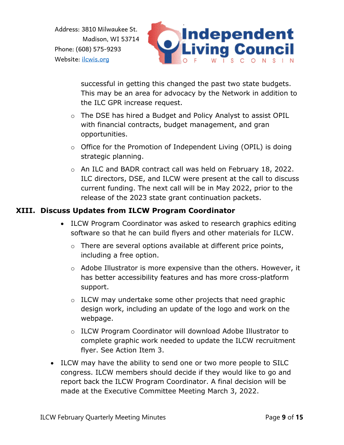

successful in getting this changed the past two state budgets. This may be an area for advocacy by the Network in addition to the ILC GPR increase request.

- o The DSE has hired a Budget and Policy Analyst to assist OPIL with financial contracts, budget management, and gran opportunities.
- o Office for the Promotion of Independent Living (OPIL) is doing strategic planning.
- o An ILC and BADR contract call was held on February 18, 2022. ILC directors, DSE, and ILCW were present at the call to discuss current funding. The next call will be in May 2022, prior to the release of the 2023 state grant continuation packets.

#### **XIII. Discuss Updates from ILCW Program Coordinator**

- ILCW Program Coordinator was asked to research graphics editing software so that he can build flyers and other materials for ILCW.
	- $\circ$  There are several options available at different price points, including a free option.
	- $\circ$  Adobe Illustrator is more expensive than the others. However, it has better accessibility features and has more cross-platform support.
	- o ILCW may undertake some other projects that need graphic design work, including an update of the logo and work on the webpage.
	- o ILCW Program Coordinator will download Adobe Illustrator to complete graphic work needed to update the ILCW recruitment flyer. See Action Item 3.
- ILCW may have the ability to send one or two more people to SILC congress. ILCW members should decide if they would like to go and report back the ILCW Program Coordinator. A final decision will be made at the Executive Committee Meeting March 3, 2022.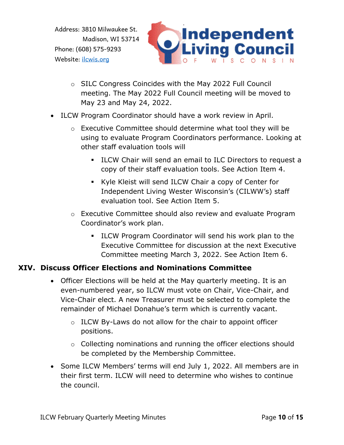

- o SILC Congress Coincides with the May 2022 Full Council meeting. The May 2022 Full Council meeting will be moved to May 23 and May 24, 2022.
- ILCW Program Coordinator should have a work review in April.
	- o Executive Committee should determine what tool they will be using to evaluate Program Coordinators performance. Looking at other staff evaluation tools will
		- ILCW Chair will send an email to ILC Directors to request a copy of their staff evaluation tools. See Action Item 4.
		- Kyle Kleist will send ILCW Chair a copy of Center for Independent Living Wester Wisconsin's (CILWW's) staff evaluation tool. See Action Item 5.
	- o Executive Committee should also review and evaluate Program Coordinator's work plan.
		- **EXECO** Program Coordinator will send his work plan to the Executive Committee for discussion at the next Executive Committee meeting March 3, 2022. See Action Item 6.

#### **XIV. Discuss Officer Elections and Nominations Committee**

- Officer Elections will be held at the May quarterly meeting. It is an even-numbered year, so ILCW must vote on Chair, Vice-Chair, and Vice-Chair elect. A new Treasurer must be selected to complete the remainder of Michael Donahue's term which is currently vacant.
	- o ILCW By-Laws do not allow for the chair to appoint officer positions.
	- o Collecting nominations and running the officer elections should be completed by the Membership Committee.
- Some ILCW Members' terms will end July 1, 2022. All members are in their first term. ILCW will need to determine who wishes to continue the council.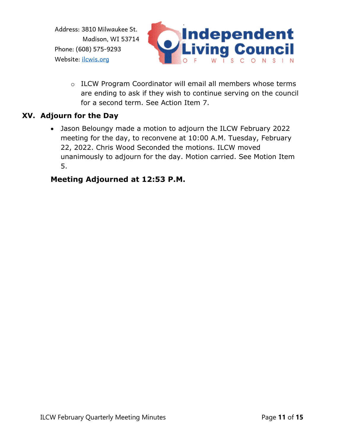

o ILCW Program Coordinator will email all members whose terms are ending to ask if they wish to continue serving on the council for a second term. See Action Item 7.

#### **XV. Adjourn for the Day**

• Jason Beloungy made a motion to adjourn the ILCW February 2022 meeting for the day, to reconvene at 10:00 A.M. Tuesday, February 22, 2022. Chris Wood Seconded the motions. ILCW moved unanimously to adjourn for the day. Motion carried. See Motion Item 5.

### **Meeting Adjourned at 12:53 P.M.**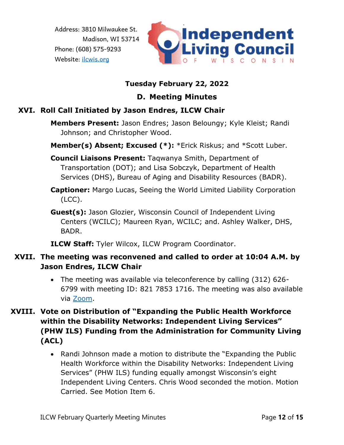

### **Tuesday February 22, 2022**

### **D. Meeting Minutes**

## **XVI. Roll Call Initiated by Jason Endres, ILCW Chair**

- **Members Present:** Jason Endres; Jason Beloungy; Kyle Kleist; Randi Johnson; and Christopher Wood.
- **Member(s) Absent; Excused (\*):** \*Erick Riskus; and \*Scott Luber.
- **Council Liaisons Present:** Taqwanya Smith, Department of Transportation (DOT); and Lisa Sobczyk, Department of Health Services (DHS), Bureau of Aging and Disability Resources (BADR).
- **Captioner:** Margo Lucas, Seeing the World Limited Liability Corporation (LCC).
- **Guest(s):** Jason Glozier, Wisconsin Council of Independent Living Centers (WCILC); Maureen Ryan, WCILC; and. Ashley Walker, DHS, BADR.

**ILCW Staff:** Tyler Wilcox, ILCW Program Coordinator.

### **XVII. The meeting was reconvened and called to order at 10:04 A.M. by Jason Endres, ILCW Chair**

- The meeting was available via teleconference by calling (312) 626- 6799 with meeting ID: 821 7853 1716. The meeting was also available via [Zoom.](https://us02web.zoom.us/j/82178531716)
- **XVIII. Vote on Distribution of "Expanding the Public Health Workforce within the Disability Networks: Independent Living Services" (PHW ILS) Funding from the Administration for Community Living (ACL)**
	- Randi Johnson made a motion to distribute the "Expanding the Public Health Workforce within the Disability Networks: Independent Living Services" (PHW ILS) funding equally amongst Wisconsin's eight Independent Living Centers. Chris Wood seconded the motion. Motion Carried. See Motion Item 6.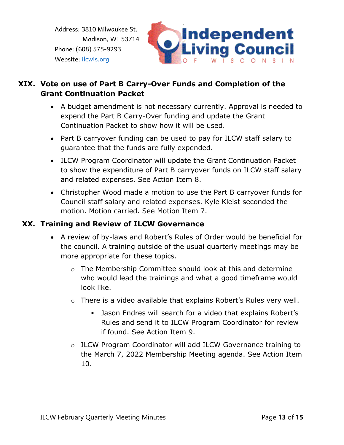

## **XIX. Vote on use of Part B Carry-Over Funds and Completion of the Grant Continuation Packet**

- A budget amendment is not necessary currently. Approval is needed to expend the Part B Carry-Over funding and update the Grant Continuation Packet to show how it will be used.
- Part B carryover funding can be used to pay for ILCW staff salary to guarantee that the funds are fully expended.
- ILCW Program Coordinator will update the Grant Continuation Packet to show the expenditure of Part B carryover funds on ILCW staff salary and related expenses. See Action Item 8.
- Christopher Wood made a motion to use the Part B carryover funds for Council staff salary and related expenses. Kyle Kleist seconded the motion. Motion carried. See Motion Item 7.

#### **XX. Training and Review of ILCW Governance**

- A review of by-laws and Robert's Rules of Order would be beneficial for the council. A training outside of the usual quarterly meetings may be more appropriate for these topics.
	- o The Membership Committee should look at this and determine who would lead the trainings and what a good timeframe would look like.
	- o There is a video available that explains Robert's Rules very well.
		- Jason Endres will search for a video that explains Robert's Rules and send it to ILCW Program Coordinator for review if found. See Action Item 9.
	- o ILCW Program Coordinator will add ILCW Governance training to the March 7, 2022 Membership Meeting agenda. See Action Item 10.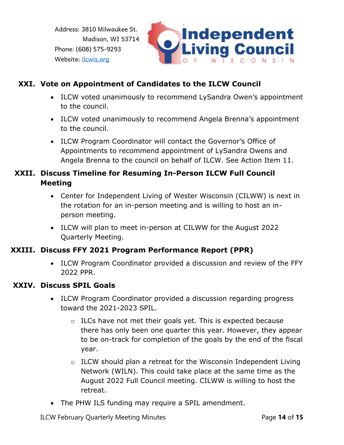

### **XXI. Vote on Appointment of Candidates to the ILCW Council**

- ILCW voted unanimously to recommend LySandra Owen's appointment to the council.
- ILCW voted unanimously to recommend Angela Brenna's appointment to the council.
- ILCW Program Coordinator will contact the Governor's Office of Appointments to recommend appointment of LySandra Owens and Angela Brenna to the council on behalf of ILCW. See Action Item 11.

### **XXII. Discuss Timeline for Resuming In-Person ILCW Full Council Meeting**

- Center for Independent Living of Wester Wisconsin (CILWW) is next in the rotation for an in-person meeting and is willing to host an inperson meeting.
- ILCW will plan to meet in-person at CILWW for the August 2022 Quarterly Meeting.

#### **XXIII. Discuss FFY 2021 Program Performance Report (PPR)**

• ILCW Program Coordinator provided a discussion and review of the FFY 2022 PPR.

#### **XXIV. Discuss SPIL Goals**

- ILCW Program Coordinator provided a discussion regarding progress toward the 2021-2023 SPIL.
	- $\circ$  ILCs have not met their goals yet. This is expected because there has only been one quarter this year. However, they appear to be on-track for completion of the goals by the end of the fiscal year.
	- o ILCW should plan a retreat for the Wisconsin Independent Living Network (WILN). This could take place at the same time as the August 2022 Full Council meeting. CILWW is willing to host the retreat.
- The PHW ILS funding may require a SPIL amendment.